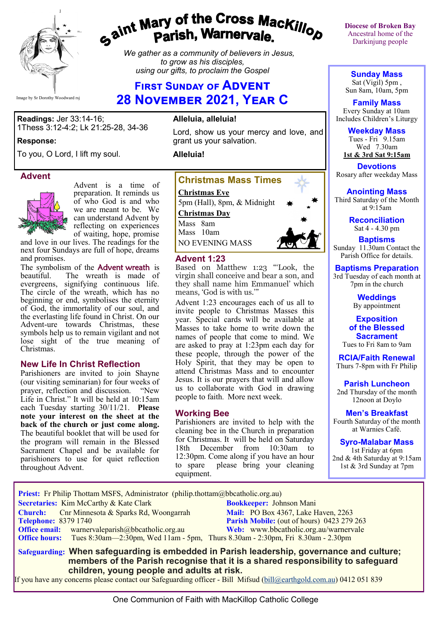

# gaint Mary of the Cross Mackillop<br>g<sup>aint</sup> Parish, Warnervale.

*We gather as a community of believers in Jesus, to grow as his disciples, using our gifts, to proclaim the Gospel*

# **First Sunday of Advent 28 November 2021, Year C**

**Readings:** Jer 33:14-16; 1Thess 3:12-4:2; Lk 21:25-28, 34-36

#### **Response:**

To you, O Lord, I lift my soul.

#### **Advent**



Advent is a time of preparation. It reminds us of who God is and who we are meant to be. We can understand Advent by reflecting on experiences of waiting, hope, promise

and love in our lives. The readings for the next four Sundays are full of hope, dreams and promises.

The symbolism of the **Advent wreath** is beautiful. The wreath is made of evergreens, signifying continuous life. The circle of the wreath, which has no beginning or end, symbolises the eternity of God, the immortality of our soul, and the everlasting life found in Christ. On our Advent-ure towards Christmas, these symbols help us to remain vigilant and not lose sight of the true meaning of Christmas.

#### **New Life In Christ Reflection**

Parishioners are invited to join Shayne (our visiting seminarian) for four weeks of<br>prayer, reflection and discussion. "New prayer, reflection and discussion. Life in Christ." It will be held at 10:15am each Tuesday starting 30/11/21. **Please note your interest on the sheet at the back of the church or just come along.**  The beautiful booklet that will be used for the program will remain in the Blessed Sacrament Chapel and be available for parishioners to use for quiet reflection throughout Advent.

#### **Alleluia, alleluia!**

Lord, show us your mercy and love, and grant us your salvation.

**Alleluia!**



#### **Advent 1:23**

Based on Matthew 1:23 "'Look, the virgin shall conceive and bear a son, and they shall name him Emmanuel' which means, 'God is with us.'"

Advent 1:23 encourages each of us all to invite people to Christmas Masses this year. Special cards will be available at Masses to take home to write down the names of people that come to mind. We are asked to pray at 1:23pm each day for these people, through the power of the Holy Spirit, that they may be open to attend Christmas Mass and to encounter Jesus. It is our prayers that will and allow us to collaborate with God in drawing people to faith. More next week.

#### **Working Bee**

Parishioners are invited to help with the cleaning bee in the Church in preparation for Christmas. It will be held on Saturday<br>18th December from 10:30am to 18th December from 10:30am to 12:30pm. Come along if you have an hour to spare please bring your cleaning equipment.

**Diocese of Broken Bay**  Ancestral home of the Darkinjung people

**Sunday Mass** Sat (Vigil) 5pm , Sun 8am, 10am, 5pm

**Family Mass**  Every Sunday at 10am Includes Children's Liturgy

**Weekday Mass** Tues - Fri 9.15am Wed 7.30am **1st & 3rd Sat 9:15am**

**Devotions** Rosary after weekday Mass

#### **Anointing Mass**

Third Saturday of the Month at 9:15am

> **Reconciliation** Sat 4 - 4.30 pm

**Baptisms** Sunday 11.30am Contact the Parish Office for details.

**Baptisms Preparation** 3rd Tuesday of each month at 7pm in the church

> **Weddings**  By appointment

#### **Exposition of the Blessed Sacrament**

Tues to Fri 8am to 9am

**RCIA/Faith Renewal**  Thurs 7-8pm with Fr Philip

**Parish Luncheon** 2nd Thursday of the month 12noon at Doylo

**Men's Breakfast**

Fourth Saturday of the month at Warnies Café.

**Syro-Malabar Mass** 1st Friday at 6pm 2nd & 4th Saturday at 9:15am

1st & 3rd Sunday at 7pm

 **Priest:** Fr Philip Thottam MSFS, Administrator (philip.thottam@bbcatholic.org.au) **Secretaries:** Kim McCarthy & Kate Clark **Bookkeeper:** Johnson Mani **Church:** Cnr Minnesota & Sparks Rd, Woongarrah **Mail: PO Box 4367, Lake Haven, 2263**<br> **Parish Mobile:** (out of hours) 0423 279 **Parish Mobile:** (out of hours) 0423 279 263 **Office email:** warnervaleparish@bbcatholic.org.au **Web:** [www.bbcatholic.org.au/warnervale](https://www.bbcatholic.org.au/warnervale) **Office hours:** Tues 8:30am—2:30pm, Wed 11am - 5pm, Thurs 8.30am - 2:30pm, Fri 8.30am - 2.30pm  **Safeguarding: When safeguarding is embedded in Parish leadership, governance and culture;** 

 **members of the Parish recognise that it is a shared responsibility to safeguard children, young people and adults at risk.**

If you have any concerns please contact our Safeguarding officer - Bill Mifsud ([bill@earthgold.com.au\)](mailto:bill@earthgold.com.au) 0412 051 839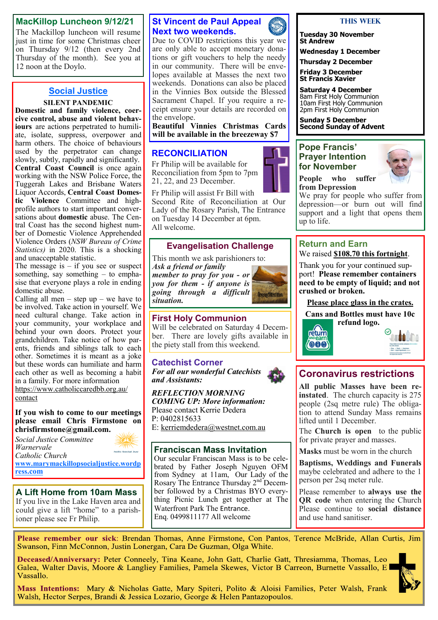#### **MacKillop Luncheon 9/12/21**

The Mackillop luncheon will resume just in time for some Christmas cheer on Thursday 9/12 (then every 2nd Thursday of the month). See you at 12 noon at the Doylo.

## **Social Justice**

#### **SILENT PANDEMIC**

**Domestic and family violence, coercive control, abuse and violent behaviours** are actions perpetrated to humiliate, isolate, suppress, overpower and harm others. The choice of behaviours used by the perpetrator can change slowly, subtly, rapidly and significantly. **Central Coast Council** is once again working with the NSW Police Force, the Tuggerah Lakes and Brisbane Waters Liquor Accords, **Central Coast Domestic Violence** Committee and highprofile authors to start important conversations about **domestic** abuse. The Central Coast has the second highest number of Domestic Violence Apprehended Violence Orders (*NSW Bureau of Crime Statistics)* in 2020. This is a shocking and unacceptable statistic.

The message is  $-$  if you see or suspect something, say something – to emphasise that everyone plays a role in ending domestic abuse.

Calling all men – step  $up$  – we have to be involved. Take action in yourself. We need cultural change. Take action in your community, your workplace and behind your own doors. Protect your grandchildren. Take notice of how parents, friends and siblings talk to each other. Sometimes it is meant as a joke but these words can humiliate and harm each other as well as becoming a habit in a family. For more information [https://www.catholiccaredbb.org.au/](https://www.catholiccaredbb.org.au/contact)

[contact](https://www.catholiccaredbb.org.au/contact)

#### **If you wish to come to our meetings please email Chris Firmstone on chrisfirmstone@gmail.com.**

*Social Justice Committee Warnervale*  holic Social Just *Catholic Church*  **[www.marymackillopsocialjustice.wordp](http://www.marymackillopsocialjustice.wordpress.com) ress[.com](http://www.marymackillopsocialjustice.wordpress.com)**

**A Lift Home from 10am Mass** If you live in the Lake Haven area and could give a lift "home" to a parishioner please see Fr Philip.

## **St Vincent de Paul Appeal Next two weekends.**

Due to COVID restrictions this year we are only able to accept monetary donations or gift vouchers to help the needy in our community. There will be envelopes available at Masses the next two weekends. Donations can also be placed in the Vinnies Box outside the Blessed Sacrament Chapel. If you require a receipt ensure your details are recorded on the envelope.

**Beautiful Vinnies Christmas Cards will be available in the breezeway \$7**

# **RECONCILIATION**

Fr Philip will be available for Reconciliation from 5pm to 7pm 21, 22, and 23 December.

Fr Philip will assist Fr Bill with

Second Rite of Reconciliation at Our Lady of the Rosary Parish, The Entrance on Tuesday 14 December at 6pm. All welcome.

## **Evangelisation Challenge**

This month we ask parishioners to:

*Ask a friend or family member to pray for you - or you for them - if anyone is going through a difficult situation.*



**First Holy Communion**

Will be celebrated on Saturday 4 December. There are lovely gifts available in the piety stall from this weekend.

# **Catechist Corner**

*For all our wonderful Catechists and Assistants:*

*REFLECTION MORNING COMING UP: More information:* Please contact Kerrie Dedera P: 0402815633 E: [kerriemdedera@westnet.com.au](mailto:kerriemdedera@westnet.com.au)

**Franciscan Mass Invitation** Our secular Franciscan Mass is to be celebrated by Father Joseph Nguyen OFM from Sydney at 11am, Our Lady of the Rosary The Entrance Thursday 2<sup>nd</sup> December followed by a Christmas BYO everything Picnic Lunch get together at The Waterfront Park The Entrance. Enq. 0499811177 All welcome



**Tuesday 30 November St Andrew**

**Wednesday 1 December**

**Thursday 2 December Friday 3 December St Francis Xavier**

**Saturday 4 December** 8am First Holy Communion 10am First Holy Communion 2pm First Holy Communion

**Sunday 5 December Second Sunday of Advent**

#### **Pope Francis' Prayer Intention for November**



**People who suffer from Depression**

We pray for people who suffer from depression—or burn out will find support and a light that opens them up to life.

#### **Return and Earn**  We raised **\$108.70 this fortnight**.

Thank you for your continued support! **Please remember containers need to be empty of liquid; and not crushed or broken.** 

**Please place glass in the crates.**

**Cans and Bottles must have 10c refund logo.** 





# **Coronavirus restrictions**

**All public Masses have been reinstated**. The church capacity is 275 people (2sq metre rule) The obligation to attend Sunday Mass remains lifted until 1 December.

The **Church is open** to the public for private prayer and masses.

**Masks** must be worn in the church

**Baptisms, Weddings and Funerals**  maybe celebrated and adhere to the 1 person per 2sq meter rule.

Please remember to **always use the QR code** when entering the Church Please continue to **social distance** and use hand sanitiser.

Please remember our sick: Brendan Thomas, Anne Firmstone, Con Pantos, Terence McBride, Allan Curtis, Jim Swanson, Finn McConnon, Justin Lonergan, Cara De Guzman, Olga White.

Deceased/Anniversary: Peter Conneely, Tina Keane, John Gatt, Charlie Gatt, Thresiamma, Thomas, Leo Galea, Walter Davis, Moore & Langliey Families, Pamela Skewes, Victor B Carreon, Burnette Vassallo, E Vassallo.



Mass Intentions: Mary & Nicholas Gatte, Mary Spiteri, Polito & Aloisi Families, Peter Walsh, Frank Walsh, Hector Serpes, Brandi & Jessica Lozario, George & Helen Pantazopoulos.

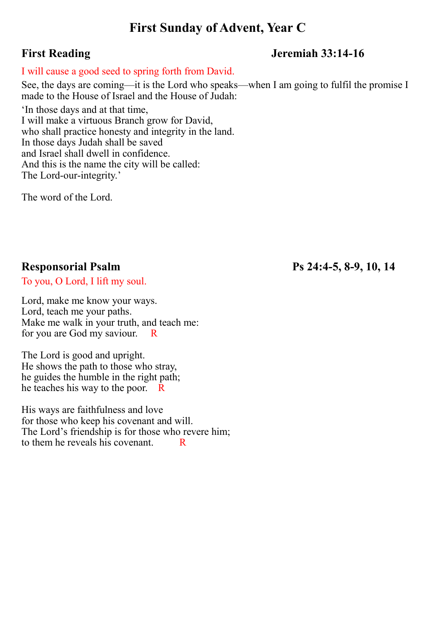# **First Sunday of Advent, Year C**

# **First Reading Jeremiah 33:14-16**

## I will cause a good seed to spring forth from David.

See, the days are coming—it is the Lord who speaks—when I am going to fulfil the promise I made to the House of Israel and the House of Judah:

'In those days and at that time, I will make a virtuous Branch grow for David, who shall practice honesty and integrity in the land. In those days Judah shall be saved and Israel shall dwell in confidence. And this is the name the city will be called: The Lord-our-integrity.'

The word of the Lord.

To you, O Lord, I lift my soul.

Lord, make me know your ways. Lord, teach me your paths. Make me walk in your truth, and teach me: for you are God my saviour. R

The Lord is good and upright. He shows the path to those who stray, he guides the humble in the right path; he teaches his way to the poor. R

His ways are faithfulness and love for those who keep his covenant and will. The Lord's friendship is for those who revere him; to them he reveals his covenant.  $\overline{R}$ 

**Responsorial Psalm Ps 24:4-5, 8-9, 10, 14**